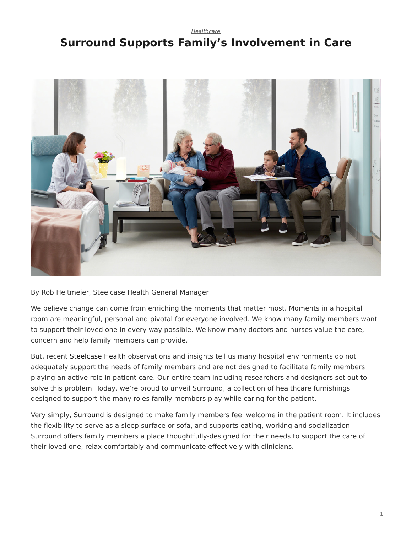## <span id="page-0-0"></span>*[Healthcare](https://www.steelcase.com/research/topics/healthcare/)* **Surround Supports Family's Involvement in Care**



By Rob Heitmeier, Steelcase Health General Manager

We believe change can come from enriching the moments that matter most. Moments in a hospital room are meaningful, personal and pivotal for everyone involved. We know many family members want to support their loved one in every way possible. We know many doctors and nurses value the care, concern and help family members can provide.

But, recent [Steelcase Health](https://www.steelcase.com/blog/new-health-insights-family-face-unmet-needs/) observations and insights tell us many hospital environments do not adequately support the needs of family members and are not designed to facilitate family members playing an active role in patient care. Our entire team including researchers and designers set out to solve this problem. Today, we're proud to unveil Surround, a collection of healthcare furnishings designed to support the many roles family members play while caring for the patient.

Very simply, [Surround](http://steelcasehealth.com/surround) is designed to make family members feel welcome in the patient room. It includes the flexibility to serve as a sleep surface or sofa, and supports eating, working and socialization. Surround offers family members a place thoughtfully-designed for their needs to support the care of their loved one, relax comfortably and communicate effectively with clinicians.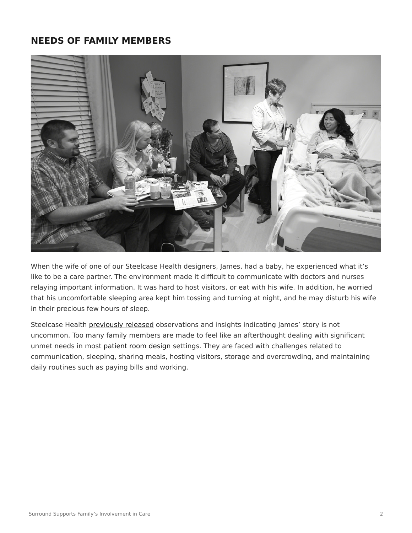## **NEEDS OF FAMILY MEMBERS**



When the wife of one of our Steelcase Health designers, James, had a baby, he experienced what it's like to be a care partner. The environment made it difficult to communicate with doctors and nurses relaying important information. It was hard to host visitors, or eat with his wife. In addition, he worried that his uncomfortable sleeping area kept him tossing and turning at night, and he may disturb his wife in their precious few hours of sleep.

Steelcase Health [previously released](https://www.steelcase.com/blog/new-health-insights-family-face-unmet-needs/) observations and insights indicating James' story is not uncommon. Too many family members are made to feel like an afterthought dealing with significant unmet needs in most [patient room design](https://www.steelcase.com/insights/articles/patient-rooms-a-positive-prognosis/) settings. They are faced with challenges related to communication, sleeping, sharing meals, hosting visitors, storage and overcrowding, and maintaining daily routines such as paying bills and working.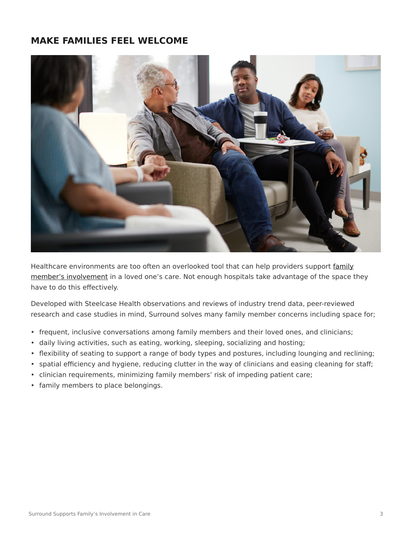## **MAKE FAMILIES FEEL WELCOME**



Healthcare environments are too often an overlooked tool that can help providers support [family](https://www.steelcase.com/blog/new-health-insights-family-face-unmet-needs/) [member's involvement](https://www.steelcase.com/blog/new-health-insights-family-face-unmet-needs/) in a loved one's care. Not enough hospitals take advantage of the space they have to do this effectively.

Developed with Steelcase Health observations and reviews of industry trend data, peer-reviewed research and case studies in mind, Surround solves many family member concerns including space for;

- frequent, inclusive conversations among family members and their loved ones, and clinicians;
- daily living activities, such as eating, working, sleeping, socializing and hosting;
- flexibility of seating to support a range of body types and postures, including lounging and reclining;
- spatial efficiency and hygiene, reducing clutter in the way of clinicians and easing cleaning for staff;
- clinician requirements, minimizing family members' risk of impeding patient care;
- family members to place belongings.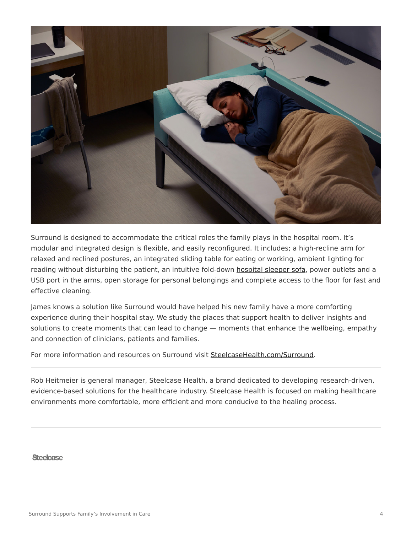

Surround is designed to accommodate the critical roles the family plays in the hospital room. It's modular and integrated design is flexible, and easily reconfigured. It includes; a high-recline arm for relaxed and reclined postures, an integrated sliding table for eating or working, ambient lighting for reading without disturbing the patient, an intuitive fold-down [hospital sleeper sofa](https://www.steelcase.com/products/sofas/), power outlets and a USB port in the arms, open storage for personal belongings and complete access to the floor for fast and effective cleaning.

James knows a solution like Surround would have helped his new family have a more comforting experience during their hospital stay. We study the places that support health to deliver insights and solutions to create moments that can lead to change — moments that enhance the wellbeing, empathy and connection of clinicians, patients and families.

For more information and resources on Surround visit [SteelcaseHealth.com/Surround](http://steelcasehealth.com/surround).

Rob Heitmeier is general manager, Steelcase Health, a brand dedicated to developing research-driven, evidence-based solutions for the healthcare industry. Steelcase Health is focused on making healthcare environments more comfortable, more efficient and more conducive to the healing process.

Steelcase